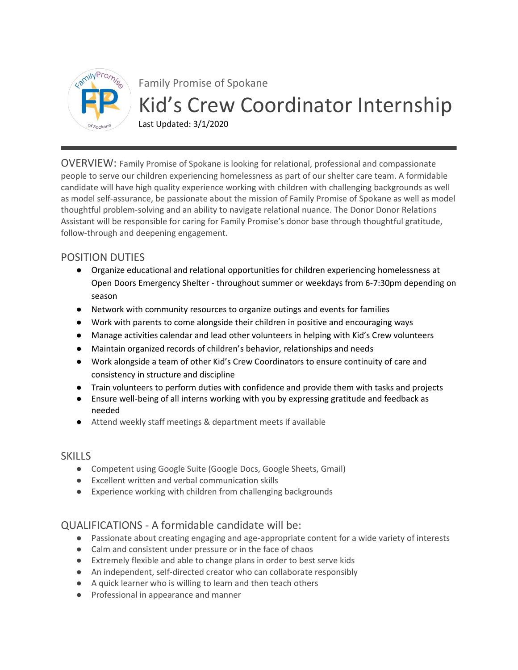

Family Promise of Spokane Kid's Crew Coordinator Internship

Last Updated: 3/1/2020

OVERVIEW: Family Promise of Spokane is looking for relational, professional and compassionate people to serve our children experiencing homelessness as part of our shelter care team. A formidable candidate will have high quality experience working with children with challenging backgrounds as well as model self-assurance, be passionate about the mission of Family Promise of Spokane as well as model thoughtful problem-solving and an ability to navigate relational nuance. The Donor Donor Relations Assistant will be responsible for caring for Family Promise's donor base through thoughtful gratitude, follow-through and deepening engagement.

## POSITION DUTIES

- Organize educational and relational opportunities for children experiencing homelessness at Open Doors Emergency Shelter - throughout summer or weekdays from 6-7:30pm depending on season
- Network with community resources to organize outings and events for families
- Work with parents to come alongside their children in positive and encouraging ways
- Manage activities calendar and lead other volunteers in helping with Kid's Crew volunteers
- Maintain organized records of children's behavior, relationships and needs
- Work alongside a team of other Kid's Crew Coordinators to ensure continuity of care and consistency in structure and discipline
- Train volunteers to perform duties with confidence and provide them with tasks and projects
- Ensure well-being of all interns working with you by expressing gratitude and feedback as needed
- Attend weekly staff meetings & department meets if available

## **SKILLS**

- Competent using Google Suite (Google Docs, Google Sheets, Gmail)
- Excellent written and verbal communication skills
- Experience working with children from challenging backgrounds

## QUALIFICATIONS - A formidable candidate will be:

- Passionate about creating engaging and age-appropriate content for a wide variety of interests
- Calm and consistent under pressure or in the face of chaos
- Extremely flexible and able to change plans in order to best serve kids
- An independent, self-directed creator who can collaborate responsibly
- A quick learner who is willing to learn and then teach others
- Professional in appearance and manner